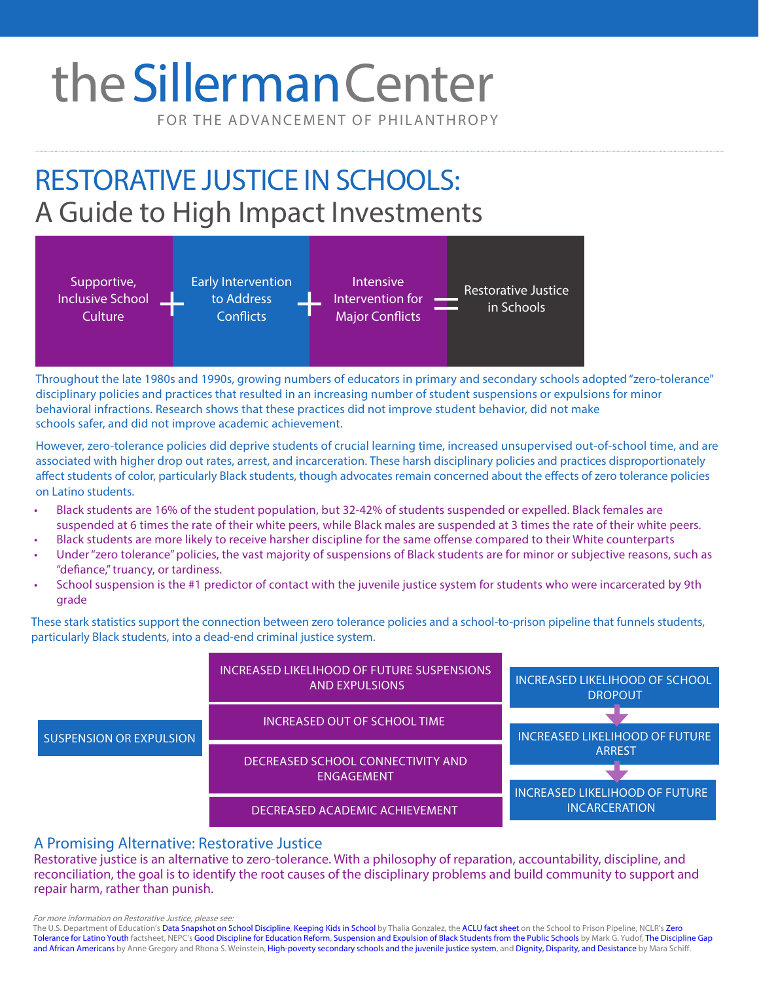# the Sillerman Center

FOR THE ADVANCEMENT OF PHILANTHROPY

## RESTORATIVE JUSTICE IN SCHOOLS: A Guide to High Impact Investments



Throughout the late 1980s and 1990s, growing numbers of educators in primary and secondary schools adopted "zero-tolerance" disciplinary policies and practices that resulted in an increasing number of student [suspensions or expulsion](http://ocrdata.ed.gov/Downloads/CRDC-School-Discipline-Snapshot.pdf)s for minor behavioral infractions. Research shows that these practices did [not improve student behavior](http://www.ibarji.org/docs/gonzales.pdf), did not make schools safer, and did not improve academic achievement.

However, zero-tolerance policies did [deprive students of crucial learning time,](https://www.aclu.org/fact-sheet/what-school-prison-pipeline) increased unsupervised out-of-school time, and are associated with higher drop out rates, arrest, and incarceration. These harsh disciplinary policies and practices disproportionately affect students of color, particularly Black students, though [advocates remain concerned](https://www.sccgov.org/sites/pdo/ppw/pubs/documents/zerotolerance_factsheet22011.pdf) about the effects of zero tolerance policies on Latino students.

- Black students are 16% of the student population, but 32-42% of students suspended or expelled. Black females are suspended at 6 times the rate of their white peers, while Black males are suspended at 3 times the rate of their white peers.
- Black students are more likely to receive harsher discipline for the same offense compared to their White counterparts
- Under "zero tolerance" policies, the vast majority of suspensions of Black students are for minor or subjective reasons, such as "defiance," truancy, or tardiness.
- School suspension is the #1 predictor of contact with the juvenile justice system for students who were incarcerated by 9th grade

These stark statistics support the connection between zero tolerance policies and a school-to-prison pipeline that funnels students, particularly Black students, into a dead-end criminal justice system.



### A Promising Alternative: Restorative Justice

Restorative justice is an alternative to zero-tolerance. With a philosophy of reparation, accountability, discipline, and reconciliation, the goal is to identify the root causes of the disciplinary problems and build community to support and repair harm, rather than punish.

For more information on Restorative Justice, please see:

The U.S. Department of Education's [Data Snapshot on School Discipline](http://ocrdata.ed.gov/Downloads/CRDC-School-Discipline-Snapshot.pdf), [Keeping Kids in School b](http://www.ibarji.org/docs/gonzales.pdf)y Thalia Gonzalez, the [ACLU fact sheet](https://www.aclu.org/fact-sheet/what-school-prison-pipeline) on the School to Prison Pipeline, NCLR's Zero [Tolerance for Latino Youth](https://www.sccgov.org/sites/pdo/ppw/pubs/documents/zerotolerance_factsheet22011.pdf) factsheet, NEPC's [Good Discipline for Educati](http://nepc.colorado.edu/publication/discipline-policies)[on Reform, Suspension and Expulsion of Black Students from the Public Schools](http://scholarship.law.duke.edu/cgi/viewcontent.cgi?article=3447&context=lcp) by Mark G. Yudof, The Discipline Gap [and African Americans](https://www.researchgate.net/publication/23664174_The_discipline_gap_and_African_Americans_Defiance_or_cooperation_in_the_high_school_classroom) by Anne Gregory and Rhona S. Weinstein, [High-poverty secondary schools and the juvenile justice system,](http://onlinelibrary.wiley.com/doi/10.1002/yd.55/abstract) and [Dignity, Disparity, and Desistance](http://civilrightsproject.ucla.edu/resources/projects/center-for-civil-rights-remedies/school-to-prison-folder/state-reports/dignity-disparity-and-desistance-effective-restorative-justice-strategies-to-plug-the-201cschool-to-prison-pipeline/schiff-dignity-disparity-ccrr-conf-2013.pdf) by Mara Schiff.